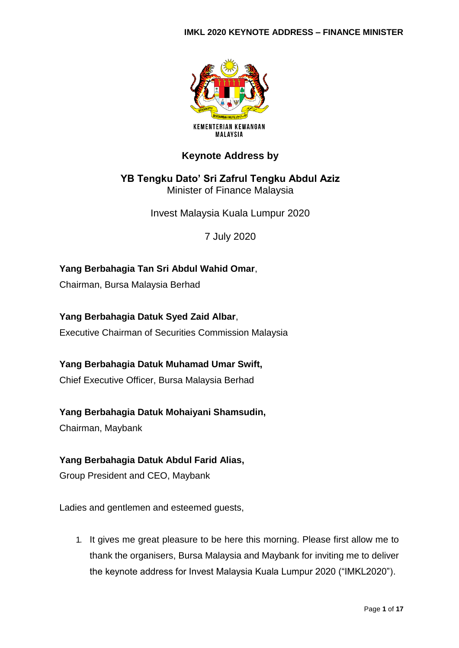#### **IMKL 2020 KEYNOTE ADDRESS – FINANCE MINISTER**



# **Keynote Address by**

**YB Tengku Dato' Sri Zafrul Tengku Abdul Aziz** Minister of Finance Malaysia

Invest Malaysia Kuala Lumpur 2020

7 July 2020

**Yang Berbahagia Tan Sri Abdul Wahid Omar**, Chairman, Bursa Malaysia Berhad

**Yang Berbahagia Datuk Syed Zaid Albar**, Executive Chairman of Securities Commission Malaysia

**Yang Berbahagia Datuk Muhamad Umar Swift,**

Chief Executive Officer, Bursa Malaysia Berhad

**Yang Berbahagia Datuk Mohaiyani Shamsudin,**

Chairman, Maybank

### **Yang Berbahagia Datuk Abdul Farid Alias,**

Group President and CEO, Maybank

Ladies and gentlemen and esteemed guests,

1. It gives me great pleasure to be here this morning. Please first allow me to thank the organisers, Bursa Malaysia and Maybank for inviting me to deliver the keynote address for Invest Malaysia Kuala Lumpur 2020 ("IMKL2020").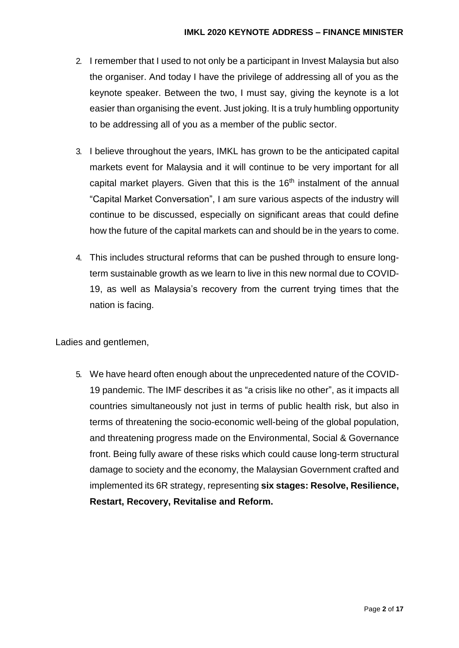- 2. I remember that I used to not only be a participant in Invest Malaysia but also the organiser. And today I have the privilege of addressing all of you as the keynote speaker. Between the two, I must say, giving the keynote is a lot easier than organising the event. Just joking. It is a truly humbling opportunity to be addressing all of you as a member of the public sector.
- 3. I believe throughout the years, IMKL has grown to be the anticipated capital markets event for Malaysia and it will continue to be very important for all capital market players. Given that this is the 16<sup>th</sup> instalment of the annual "Capital Market Conversation", I am sure various aspects of the industry will continue to be discussed, especially on significant areas that could define how the future of the capital markets can and should be in the years to come.
- 4. This includes structural reforms that can be pushed through to ensure longterm sustainable growth as we learn to live in this new normal due to COVID-19, as well as Malaysia's recovery from the current trying times that the nation is facing.

5. We have heard often enough about the unprecedented nature of the COVID-19 pandemic. The IMF describes it as "a crisis like no other", as it impacts all countries simultaneously not just in terms of public health risk, but also in terms of threatening the socio-economic well-being of the global population, and threatening progress made on the Environmental, Social & Governance front. Being fully aware of these risks which could cause long-term structural damage to society and the economy, the Malaysian Government crafted and implemented its 6R strategy, representing **six stages: Resolve, Resilience, Restart, Recovery, Revitalise and Reform.**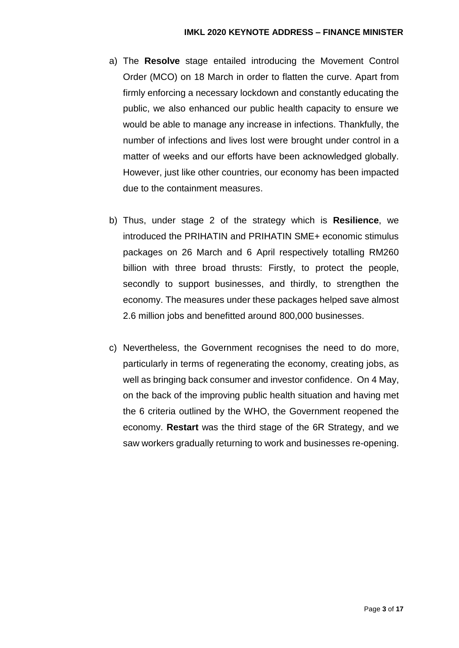- a) The **Resolve** stage entailed introducing the Movement Control Order (MCO) on 18 March in order to flatten the curve. Apart from firmly enforcing a necessary lockdown and constantly educating the public, we also enhanced our public health capacity to ensure we would be able to manage any increase in infections. Thankfully, the number of infections and lives lost were brought under control in a matter of weeks and our efforts have been acknowledged globally. However, just like other countries, our economy has been impacted due to the containment measures.
- b) Thus, under stage 2 of the strategy which is **Resilience**, we introduced the PRIHATIN and PRIHATIN SME+ economic stimulus packages on 26 March and 6 April respectively totalling RM260 billion with three broad thrusts: Firstly, to protect the people, secondly to support businesses, and thirdly, to strengthen the economy. The measures under these packages helped save almost 2.6 million jobs and benefitted around 800,000 businesses.
- c) Nevertheless, the Government recognises the need to do more, particularly in terms of regenerating the economy, creating jobs, as well as bringing back consumer and investor confidence. On 4 May, on the back of the improving public health situation and having met the 6 criteria outlined by the WHO, the Government reopened the economy. **Restart** was the third stage of the 6R Strategy, and we saw workers gradually returning to work and businesses re-opening.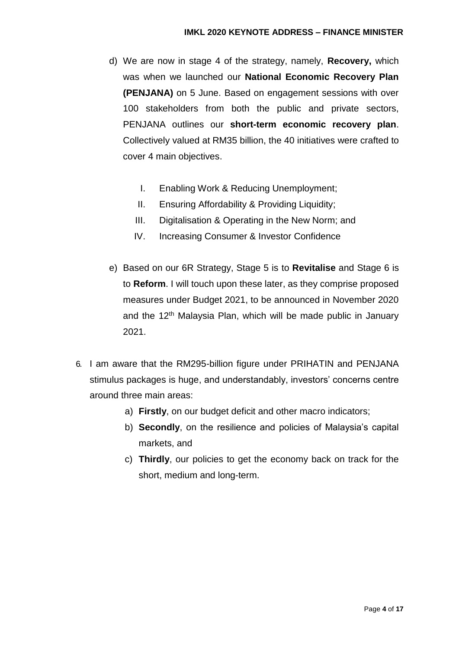- d) We are now in stage 4 of the strategy, namely, **Recovery,** which was when we launched our **National Economic Recovery Plan (PENJANA)** on 5 June. Based on engagement sessions with over 100 stakeholders from both the public and private sectors, PENJANA outlines our **short-term economic recovery plan**. Collectively valued at RM35 billion, the 40 initiatives were crafted to cover 4 main objectives.
	- I. Enabling Work & Reducing Unemployment;
	- II. Ensuring Affordability & Providing Liquidity;
	- III. Digitalisation & Operating in the New Norm; and
	- IV. Increasing Consumer & Investor Confidence
- e) Based on our 6R Strategy, Stage 5 is to **Revitalise** and Stage 6 is to **Reform**. I will touch upon these later, as they comprise proposed measures under Budget 2021, to be announced in November 2020 and the 12<sup>th</sup> Malaysia Plan, which will be made public in January 2021.
- 6. I am aware that the RM295-billion figure under PRIHATIN and PENJANA stimulus packages is huge, and understandably, investors' concerns centre around three main areas:
	- a) **Firstly**, on our budget deficit and other macro indicators;
	- b) **Secondly**, on the resilience and policies of Malaysia's capital markets, and
	- c) **Thirdly**, our policies to get the economy back on track for the short, medium and long-term.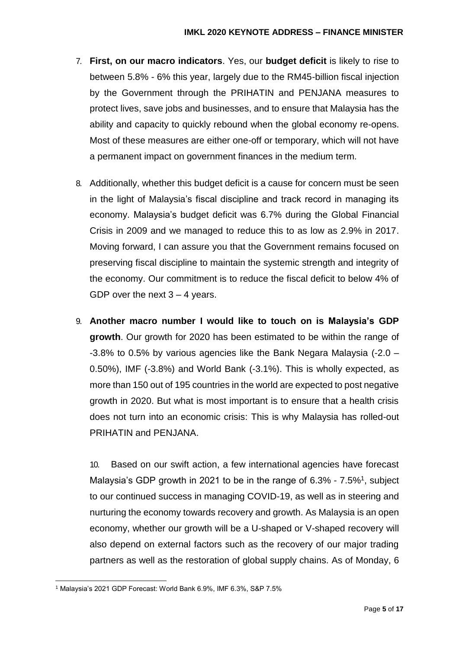- 7. **First, on our macro indicators**. Yes, our **budget deficit** is likely to rise to between 5.8% - 6% this year, largely due to the RM45-billion fiscal injection by the Government through the PRIHATIN and PENJANA measures to protect lives, save jobs and businesses, and to ensure that Malaysia has the ability and capacity to quickly rebound when the global economy re-opens. Most of these measures are either one-off or temporary, which will not have a permanent impact on government finances in the medium term.
- 8. Additionally, whether this budget deficit is a cause for concern must be seen in the light of Malaysia's fiscal discipline and track record in managing its economy. Malaysia's budget deficit was 6.7% during the Global Financial Crisis in 2009 and we managed to reduce this to as low as 2.9% in 2017. Moving forward, I can assure you that the Government remains focused on preserving fiscal discipline to maintain the systemic strength and integrity of the economy. Our commitment is to reduce the fiscal deficit to below 4% of GDP over the next  $3 - 4$  years.
- 9. **Another macro number I would like to touch on is Malaysia's GDP growth**. Our growth for 2020 has been estimated to be within the range of -3.8% to 0.5% by various agencies like the Bank Negara Malaysia (-2.0 – 0.50%), IMF (-3.8%) and World Bank (-3.1%). This is wholly expected, as more than 150 out of 195 countries in the world are expected to post negative growth in 2020. But what is most important is to ensure that a health crisis does not turn into an economic crisis: This is why Malaysia has rolled-out PRIHATIN and PENJANA.

10. Based on our swift action, a few international agencies have forecast Malaysia's GDP growth in 2021 to be in the range of 6.3% - 7.5%<sup>1</sup>, subject to our continued success in managing COVID-19, as well as in steering and nurturing the economy towards recovery and growth. As Malaysia is an open economy, whether our growth will be a U-shaped or V-shaped recovery will also depend on external factors such as the recovery of our major trading partners as well as the restoration of global supply chains. As of Monday, 6

<sup>1</sup> <sup>1</sup> Malaysia's 2021 GDP Forecast: World Bank 6.9%, IMF 6.3%, S&P 7.5%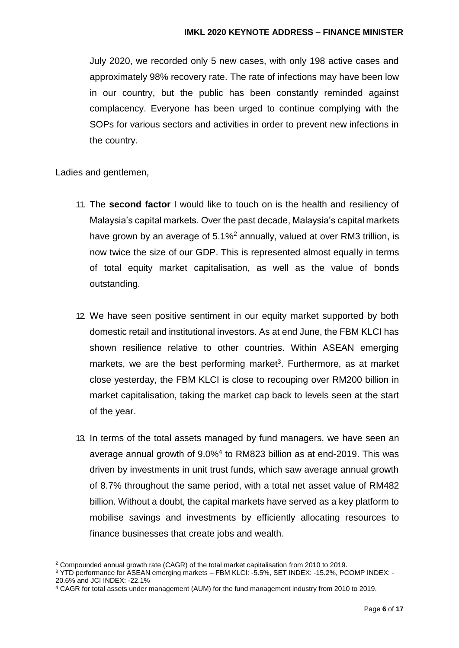July 2020, we recorded only 5 new cases, with only 198 active cases and approximately 98% recovery rate. The rate of infections may have been low in our country, but the public has been constantly reminded against complacency. Everyone has been urged to continue complying with the SOPs for various sectors and activities in order to prevent new infections in the country.

- 11. The **second factor** I would like to touch on is the health and resiliency of Malaysia's capital markets. Over the past decade, Malaysia's capital markets have grown by an average of  $5.1\%^2$  annually, valued at over RM3 trillion, is now twice the size of our GDP. This is represented almost equally in terms of total equity market capitalisation, as well as the value of bonds outstanding.
- 12. We have seen positive sentiment in our equity market supported by both domestic retail and institutional investors. As at end June, the FBM KLCI has shown resilience relative to other countries. Within ASEAN emerging markets, we are the best performing market<sup>3</sup>. Furthermore, as at market close yesterday, the FBM KLCI is close to recouping over RM200 billion in market capitalisation, taking the market cap back to levels seen at the start of the year.
- 13. In terms of the total assets managed by fund managers, we have seen an average annual growth of 9.0%<sup>4</sup> to RM823 billion as at end-2019. This was driven by investments in unit trust funds, which saw average annual growth of 8.7% throughout the same period, with a total net asset value of RM482 billion. Without a doubt, the capital markets have served as a key platform to mobilise savings and investments by efficiently allocating resources to finance businesses that create jobs and wealth.

<sup>1</sup> <sup>2</sup> Compounded annual growth rate (CAGR) of the total market capitalisation from 2010 to 2019.

<sup>3</sup> YTD performance for ASEAN emerging markets – FBM KLCI: -5.5%, SET INDEX: -15.2%, PCOMP INDEX: - 20.6% and JCI INDEX: -22.1%

<sup>4</sup> CAGR for total assets under management (AUM) for the fund management industry from 2010 to 2019.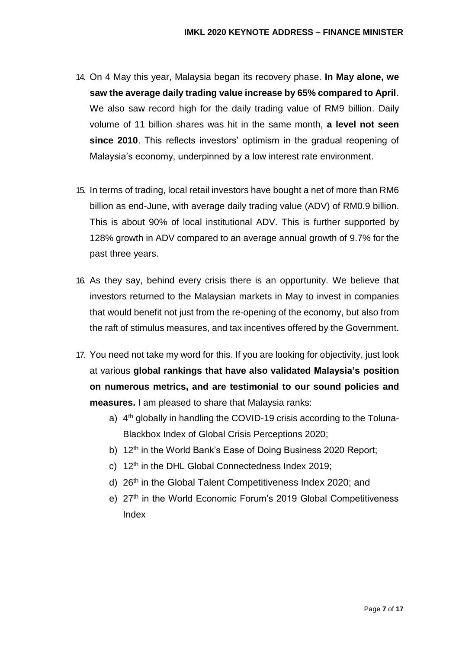- 14. On 4 May this year, Malaysia began its recovery phase. **In May alone, we saw the average daily trading value increase by 65% compared to April**. We also saw record high for the daily trading value of RM9 billion. Daily volume of 11 billion shares was hit in the same month, **a level not seen since 2010**. This reflects investors' optimism in the gradual reopening of Malaysia's economy, underpinned by a low interest rate environment.
- 15. In terms of trading, local retail investors have bought a net of more than RM6 billion as end-June, with average daily trading value (ADV) of RM0.9 billion. This is about 90% of local institutional ADV. This is further supported by 128% growth in ADV compared to an average annual growth of 9.7% for the past three years.
- 16. As they say, behind every crisis there is an opportunity. We believe that investors returned to the Malaysian markets in May to invest in companies that would benefit not just from the re-opening of the economy, but also from the raft of stimulus measures, and tax incentives offered by the Government.
- 17. You need not take my word for this. If you are looking for objectivity, just look at various **global rankings that have also validated Malaysia's position on numerous metrics, and are testimonial to our sound policies and measures.** I am pleased to share that Malaysia ranks:
	- a) 4<sup>th</sup> globally in handling the COVID-19 crisis according to the Toluna-Blackbox Index of Global Crisis Perceptions 2020;
	- b) 12<sup>th</sup> in the World Bank's Ease of Doing Business 2020 Report;
	- c) 12<sup>th</sup> in the DHL Global Connectedness Index 2019;
	- d) 26th in the Global Talent Competitiveness Index 2020; and
	- e) 27<sup>th</sup> in the World Economic Forum's 2019 Global Competitiveness Index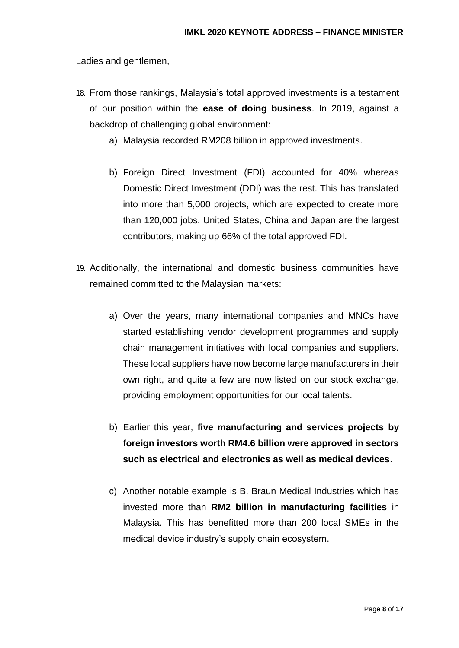- 18. From those rankings, Malaysia's total approved investments is a testament of our position within the **ease of doing business**. In 2019, against a backdrop of challenging global environment:
	- a) Malaysia recorded RM208 billion in approved investments.
	- b) Foreign Direct Investment (FDI) accounted for 40% whereas Domestic Direct Investment (DDI) was the rest. This has translated into more than 5,000 projects, which are expected to create more than 120,000 jobs. United States, China and Japan are the largest contributors, making up 66% of the total approved FDI.
- 19. Additionally, the international and domestic business communities have remained committed to the Malaysian markets:
	- a) Over the years, many international companies and MNCs have started establishing vendor development programmes and supply chain management initiatives with local companies and suppliers. These local suppliers have now become large manufacturers in their own right, and quite a few are now listed on our stock exchange, providing employment opportunities for our local talents.
	- b) Earlier this year, **five manufacturing and services projects by foreign investors worth RM4.6 billion were approved in sectors such as electrical and electronics as well as medical devices.**
	- c) Another notable example is B. Braun Medical Industries which has invested more than **RM2 billion in manufacturing facilities** in Malaysia. This has benefitted more than 200 local SMEs in the medical device industry's supply chain ecosystem.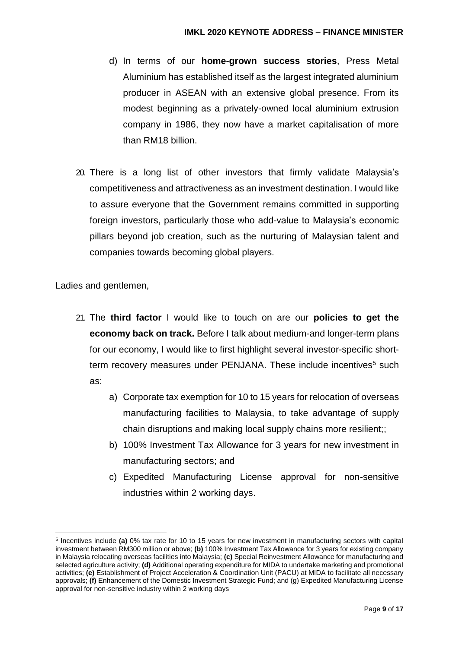- d) In terms of our **home-grown success stories**, Press Metal Aluminium has established itself as the largest integrated aluminium producer in ASEAN with an extensive global presence. From its modest beginning as a privately-owned local aluminium extrusion company in 1986, they now have a market capitalisation of more than RM18 billion.
- 20. There is a long list of other investors that firmly validate Malaysia's competitiveness and attractiveness as an investment destination. I would like to assure everyone that the Government remains committed in supporting foreign investors, particularly those who add-value to Malaysia's economic pillars beyond job creation, such as the nurturing of Malaysian talent and companies towards becoming global players.

-

- 21. The **third factor** I would like to touch on are our **policies to get the economy back on track.** Before I talk about medium-and longer-term plans for our economy, I would like to first highlight several investor-specific shortterm recovery measures under PENJANA. These include incentives<sup>5</sup> such as:
	- a) Corporate tax exemption for 10 to 15 years for relocation of overseas manufacturing facilities to Malaysia, to take advantage of supply chain disruptions and making local supply chains more resilient;;
	- b) 100% Investment Tax Allowance for 3 years for new investment in manufacturing sectors; and
	- c) Expedited Manufacturing License approval for non-sensitive industries within 2 working days.

<sup>5</sup> Incentives include **(a)** 0% tax rate for 10 to 15 years for new investment in manufacturing sectors with capital investment between RM300 million or above; **(b)** 100% Investment Tax Allowance for 3 years for existing company in Malaysia relocating overseas facilities into Malaysia; **(c)** Special Reinvestment Allowance for manufacturing and selected agriculture activity; **(d)** Additional operating expenditure for MIDA to undertake marketing and promotional activities; **(e)** Establishment of Project Acceleration & Coordination Unit (PACU) at MIDA to facilitate all necessary approvals; **(f)** Enhancement of the Domestic Investment Strategic Fund; and (g) Expedited Manufacturing License approval for non-sensitive industry within 2 working days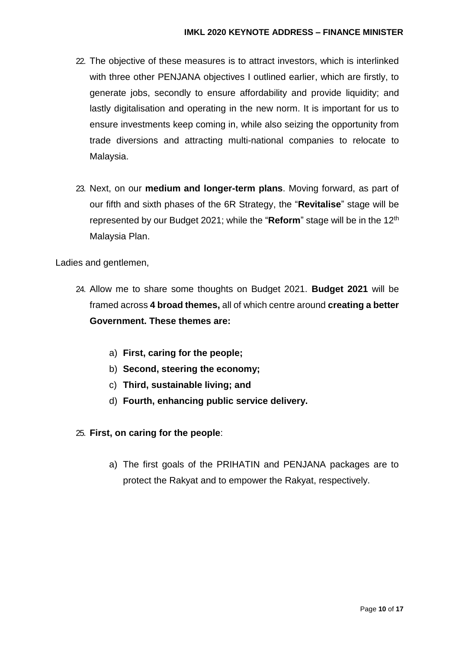- 22. The objective of these measures is to attract investors, which is interlinked with three other PENJANA objectives I outlined earlier, which are firstly, to generate jobs, secondly to ensure affordability and provide liquidity; and lastly digitalisation and operating in the new norm. It is important for us to ensure investments keep coming in, while also seizing the opportunity from trade diversions and attracting multi-national companies to relocate to Malaysia.
- 23. Next, on our **medium and longer-term plans**. Moving forward, as part of our fifth and sixth phases of the 6R Strategy, the "**Revitalise**" stage will be represented by our Budget 2021; while the "**Reform**" stage will be in the 12th Malaysia Plan.

- 24. Allow me to share some thoughts on Budget 2021. **Budget 2021** will be framed across **4 broad themes,** all of which centre around **creating a better Government. These themes are:** 
	- a) **First, caring for the people;**
	- b) **Second, steering the economy;**
	- c) **Third, sustainable living; and**
	- d) **Fourth, enhancing public service delivery.**
- 25. **First, on caring for the people**:
	- a) The first goals of the PRIHATIN and PENJANA packages are to protect the Rakyat and to empower the Rakyat, respectively.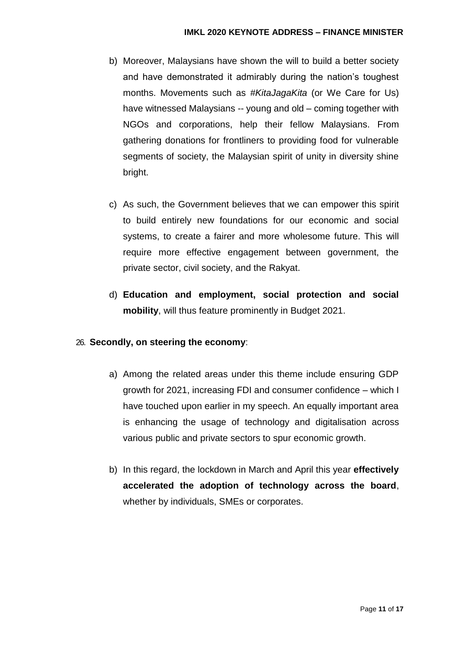- b) Moreover, Malaysians have shown the will to build a better society and have demonstrated it admirably during the nation's toughest months. Movements such as *#KitaJagaKita* (or We Care for Us) have witnessed Malaysians -- young and old – coming together with NGOs and corporations, help their fellow Malaysians. From gathering donations for frontliners to providing food for vulnerable segments of society, the Malaysian spirit of unity in diversity shine bright.
- c) As such, the Government believes that we can empower this spirit to build entirely new foundations for our economic and social systems, to create a fairer and more wholesome future. This will require more effective engagement between government, the private sector, civil society, and the Rakyat.
- d) **Education and employment, social protection and social mobility**, will thus feature prominently in Budget 2021.

## 26. **Secondly, on steering the economy**:

- a) Among the related areas under this theme include ensuring GDP growth for 2021, increasing FDI and consumer confidence – which I have touched upon earlier in my speech. An equally important area is enhancing the usage of technology and digitalisation across various public and private sectors to spur economic growth.
- b) In this regard, the lockdown in March and April this year **effectively accelerated the adoption of technology across the board**, whether by individuals, SMEs or corporates.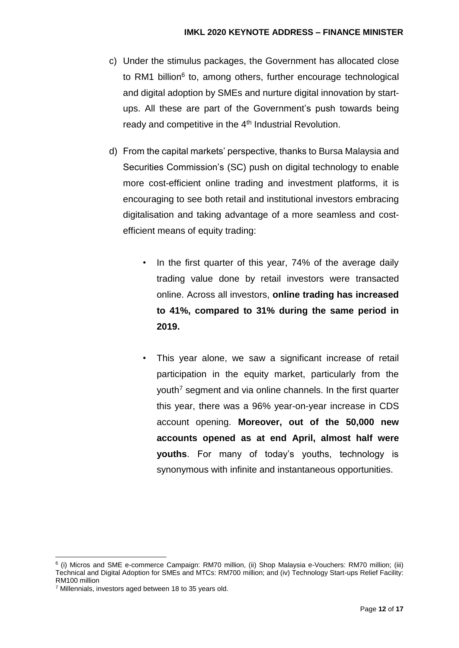- c) Under the stimulus packages, the Government has allocated close to RM1 billion<sup>6</sup> to, among others, further encourage technological and digital adoption by SMEs and nurture digital innovation by startups. All these are part of the Government's push towards being ready and competitive in the 4<sup>th</sup> Industrial Revolution.
- d) From the capital markets' perspective, thanks to Bursa Malaysia and Securities Commission's (SC) push on digital technology to enable more cost-efficient online trading and investment platforms, it is encouraging to see both retail and institutional investors embracing digitalisation and taking advantage of a more seamless and costefficient means of equity trading:
	- In the first quarter of this year, 74% of the average daily trading value done by retail investors were transacted online. Across all investors, **online trading has increased to 41%, compared to 31% during the same period in 2019.**
	- This year alone, we saw a significant increase of retail participation in the equity market, particularly from the youth<sup>7</sup> segment and via online channels. In the first quarter this year, there was a 96% year-on-year increase in CDS account opening. **Moreover, out of the 50,000 new accounts opened as at end April, almost half were youths**. For many of today's youths, technology is synonymous with infinite and instantaneous opportunities.

<sup>1</sup> 6 (i) Micros and SME e-commerce Campaign: RM70 million, (ii) Shop Malaysia e-Vouchers: RM70 million; (iii) Technical and Digital Adoption for SMEs and MTCs: RM700 million; and (iv) Technology Start-ups Relief Facility: RM100 million

<sup>7</sup> Millennials, investors aged between 18 to 35 years old.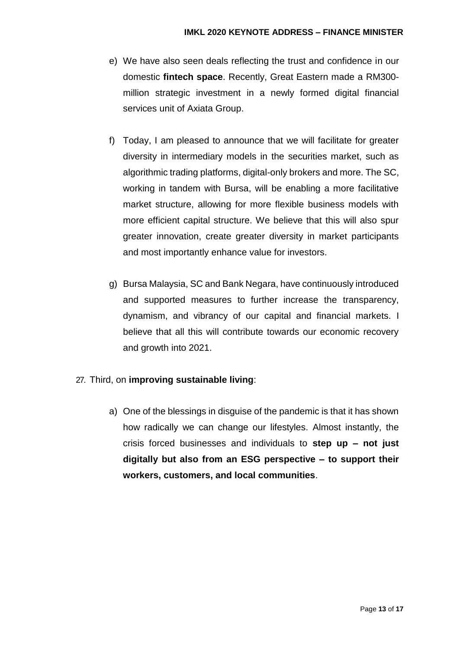- e) We have also seen deals reflecting the trust and confidence in our domestic **fintech space**. Recently, Great Eastern made a RM300 million strategic investment in a newly formed digital financial services unit of Axiata Group.
- f) Today, I am pleased to announce that we will facilitate for greater diversity in intermediary models in the securities market, such as algorithmic trading platforms, digital-only brokers and more. The SC, working in tandem with Bursa, will be enabling a more facilitative market structure, allowing for more flexible business models with more efficient capital structure. We believe that this will also spur greater innovation, create greater diversity in market participants and most importantly enhance value for investors.
- g) Bursa Malaysia, SC and Bank Negara, have continuously introduced and supported measures to further increase the transparency, dynamism, and vibrancy of our capital and financial markets. I believe that all this will contribute towards our economic recovery and growth into 2021.

## 27. Third, on **improving sustainable living**:

a) One of the blessings in disguise of the pandemic is that it has shown how radically we can change our lifestyles. Almost instantly, the crisis forced businesses and individuals to **step up – not just digitally but also from an ESG perspective – to support their workers, customers, and local communities**.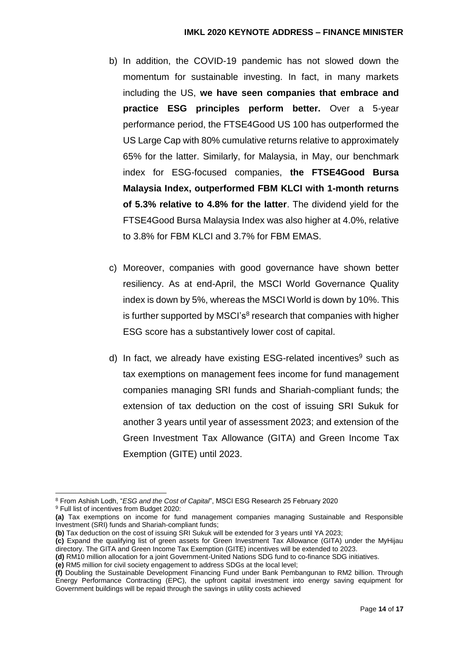#### **IMKL 2020 KEYNOTE ADDRESS – FINANCE MINISTER**

- b) In addition, the COVID-19 pandemic has not slowed down the momentum for sustainable investing. In fact, in many markets including the US, **we have seen companies that embrace and practice ESG principles perform better.** Over a 5-year performance period, the FTSE4Good US 100 has outperformed the US Large Cap with 80% cumulative returns relative to approximately 65% for the latter. Similarly, for Malaysia, in May, our benchmark index for ESG-focused companies, **the FTSE4Good Bursa Malaysia Index, outperformed FBM KLCI with 1-month returns of 5.3% relative to 4.8% for the latter**. The dividend yield for the FTSE4Good Bursa Malaysia Index was also higher at 4.0%, relative to 3.8% for FBM KLCI and 3.7% for FBM EMAS.
- c) Moreover, companies with good governance have shown better resiliency. As at end-April, the MSCI World Governance Quality index is down by 5%, whereas the MSCI World is down by 10%. This is further supported by MSCI's<sup>8</sup> research that companies with higher ESG score has a substantively lower cost of capital.
- d) In fact, we already have existing ESG-related incentives $9$  such as tax exemptions on management fees income for fund management companies managing SRI funds and Shariah-compliant funds; the extension of tax deduction on the cost of issuing SRI Sukuk for another 3 years until year of assessment 2023; and extension of the Green Investment Tax Allowance (GITA) and Green Income Tax Exemption (GITE) until 2023.

-

<sup>8</sup> From Ashish Lodh, "*ESG and the Cost of Capital*", MSCI ESG Research 25 February 2020

<sup>9</sup> Full list of incentives from Budget 2020:

**<sup>(</sup>a)** Tax exemptions on income for fund management companies managing Sustainable and Responsible Investment (SRI) funds and Shariah-compliant funds;

**<sup>(</sup>b)** Tax deduction on the cost of issuing SRI Sukuk will be extended for 3 years until YA 2023;

**<sup>(</sup>c)** Expand the qualifying list of green assets for Green Investment Tax Allowance (GITA) under the MyHijau directory. The GITA and Green Income Tax Exemption (GITE) incentives will be extended to 2023.

**<sup>(</sup>d)** RM10 million allocation for a joint Government-United Nations SDG fund to co-finance SDG initiatives.

**<sup>(</sup>e)** RM5 million for civil society engagement to address SDGs at the local level;

**<sup>(</sup>f)** Doubling the Sustainable Development Financing Fund under Bank Pembangunan to RM2 billion. Through Energy Performance Contracting (EPC), the upfront capital investment into energy saving equipment for Government buildings will be repaid through the savings in utility costs achieved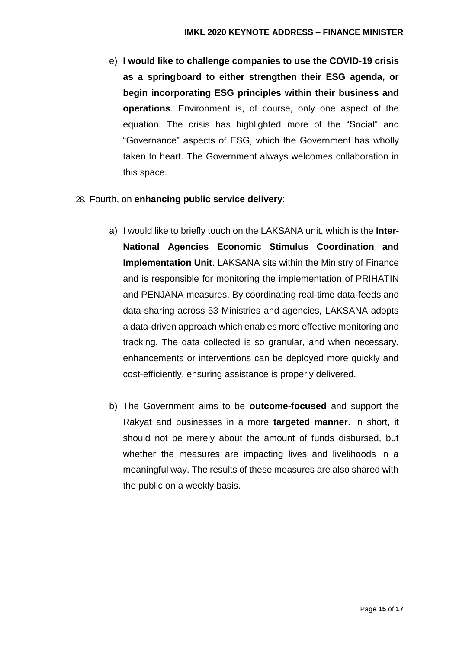e) **I would like to challenge companies to use the COVID-19 crisis as a springboard to either strengthen their ESG agenda, or begin incorporating ESG principles within their business and operations**. Environment is, of course, only one aspect of the equation. The crisis has highlighted more of the "Social" and "Governance" aspects of ESG, which the Government has wholly taken to heart. The Government always welcomes collaboration in this space.

### 28. Fourth, on **enhancing public service delivery**:

- a) I would like to briefly touch on the LAKSANA unit, which is the **Inter-National Agencies Economic Stimulus Coordination and Implementation Unit**. LAKSANA sits within the Ministry of Finance and is responsible for monitoring the implementation of PRIHATIN and PENJANA measures. By coordinating real-time data-feeds and data-sharing across 53 Ministries and agencies, LAKSANA adopts a data-driven approach which enables more effective monitoring and tracking. The data collected is so granular, and when necessary, enhancements or interventions can be deployed more quickly and cost-efficiently, ensuring assistance is properly delivered.
- b) The Government aims to be **outcome-focused** and support the Rakyat and businesses in a more **targeted manner**. In short, it should not be merely about the amount of funds disbursed, but whether the measures are impacting lives and livelihoods in a meaningful way. The results of these measures are also shared with the public on a weekly basis.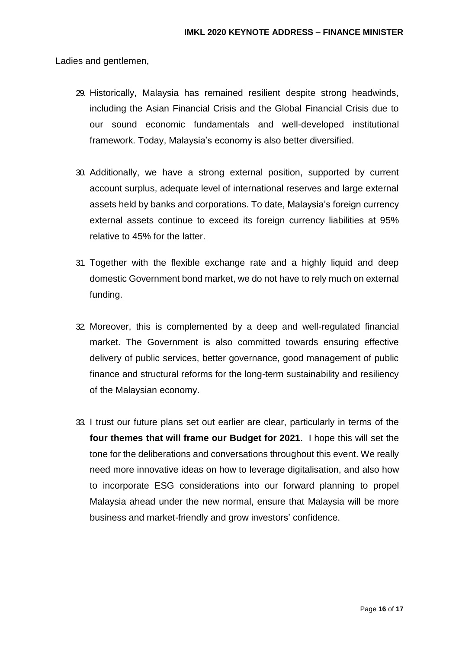- 29. Historically, Malaysia has remained resilient despite strong headwinds, including the Asian Financial Crisis and the Global Financial Crisis due to our sound economic fundamentals and well-developed institutional framework. Today, Malaysia's economy is also better diversified.
- 30. Additionally, we have a strong external position, supported by current account surplus, adequate level of international reserves and large external assets held by banks and corporations. To date, Malaysia's foreign currency external assets continue to exceed its foreign currency liabilities at 95% relative to 45% for the latter.
- 31. Together with the flexible exchange rate and a highly liquid and deep domestic Government bond market, we do not have to rely much on external funding.
- 32. Moreover, this is complemented by a deep and well-regulated financial market. The Government is also committed towards ensuring effective delivery of public services, better governance, good management of public finance and structural reforms for the long-term sustainability and resiliency of the Malaysian economy.
- 33. I trust our future plans set out earlier are clear, particularly in terms of the **four themes that will frame our Budget for 2021**. I hope this will set the tone for the deliberations and conversations throughout this event. We really need more innovative ideas on how to leverage digitalisation, and also how to incorporate ESG considerations into our forward planning to propel Malaysia ahead under the new normal, ensure that Malaysia will be more business and market-friendly and grow investors' confidence.